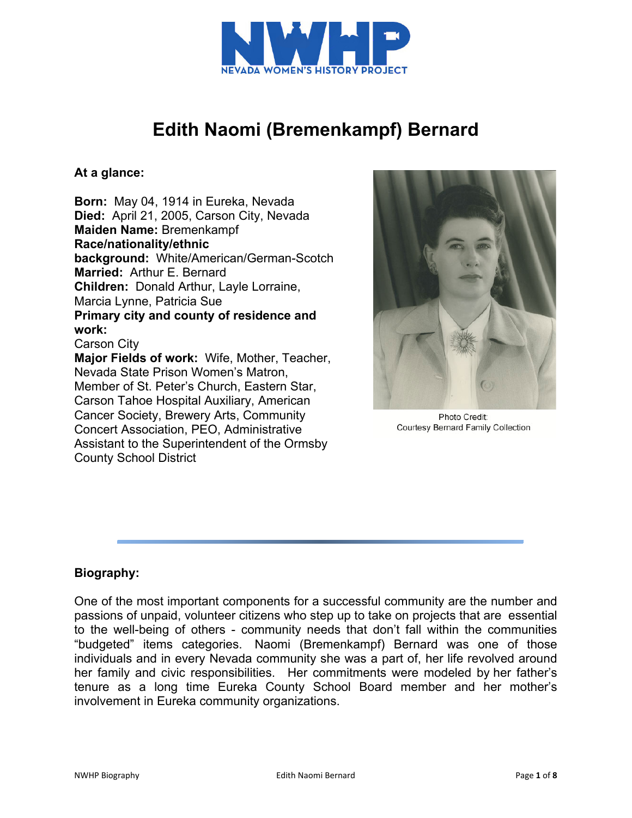

# **Edith Naomi (Bremenkampf) Bernard**

### **At a glance:**

**Born:** May 04, 1914 in Eureka, Nevada **Died:** April 21, 2005, Carson City, Nevada **Maiden Name:** Bremenkampf **Race/nationality/ethnic background:** White/American/German-Scotch **Married:** Arthur E. Bernard **Children:** Donald Arthur, Layle Lorraine, Marcia Lynne, Patricia Sue **Primary city and county of residence and work:** Carson City **Major Fields of work:** Wife, Mother, Teacher, Nevada State Prison Women's Matron, Member of St. Peter's Church, Eastern Star, Carson Tahoe Hospital Auxiliary, American Cancer Society, Brewery Arts, Community Concert Association, PEO, Administrative Assistant to the Superintendent of the Ormsby



Photo Credit: Courtesy Bernard Family Collection

### **Biography:**

County School District

One of the most important components for a successful community are the number and passions of unpaid, volunteer citizens who step up to take on projects that are essential to the well-being of others - community needs that don't fall within the communities "budgeted" items categories. Naomi (Bremenkampf) Bernard was one of those individuals and in every Nevada community she was a part of, her life revolved around her family and civic responsibilities. Her commitments were modeled by her father's tenure as a long time Eureka County School Board member and her mother's involvement in Eureka community organizations.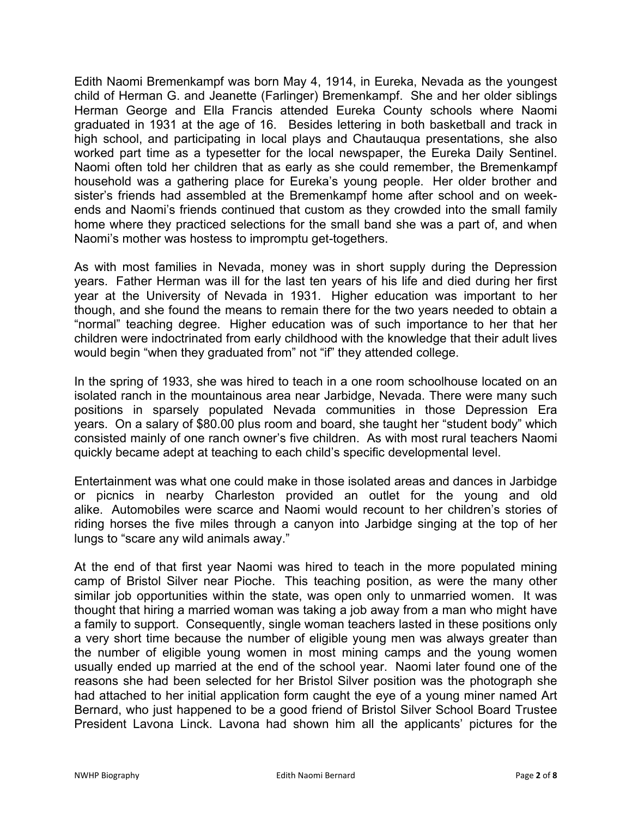Edith Naomi Bremenkampf was born May 4, 1914, in Eureka, Nevada as the youngest child of Herman G. and Jeanette (Farlinger) Bremenkampf. She and her older siblings Herman George and Ella Francis attended Eureka County schools where Naomi graduated in 1931 at the age of 16. Besides lettering in both basketball and track in high school, and participating in local plays and Chautauqua presentations, she also worked part time as a typesetter for the local newspaper, the Eureka Daily Sentinel. Naomi often told her children that as early as she could remember, the Bremenkampf household was a gathering place for Eureka's young people. Her older brother and sister's friends had assembled at the Bremenkampf home after school and on weekends and Naomi's friends continued that custom as they crowded into the small family home where they practiced selections for the small band she was a part of, and when Naomi's mother was hostess to impromptu get-togethers.

As with most families in Nevada, money was in short supply during the Depression years. Father Herman was ill for the last ten years of his life and died during her first year at the University of Nevada in 1931. Higher education was important to her though, and she found the means to remain there for the two years needed to obtain a "normal" teaching degree. Higher education was of such importance to her that her children were indoctrinated from early childhood with the knowledge that their adult lives would begin "when they graduated from" not "if" they attended college.

In the spring of 1933, she was hired to teach in a one room schoolhouse located on an isolated ranch in the mountainous area near Jarbidge, Nevada. There were many such positions in sparsely populated Nevada communities in those Depression Era years. On a salary of \$80.00 plus room and board, she taught her "student body" which consisted mainly of one ranch owner's five children. As with most rural teachers Naomi quickly became adept at teaching to each child's specific developmental level.

Entertainment was what one could make in those isolated areas and dances in Jarbidge or picnics in nearby Charleston provided an outlet for the young and old alike. Automobiles were scarce and Naomi would recount to her children's stories of riding horses the five miles through a canyon into Jarbidge singing at the top of her lungs to "scare any wild animals away."

At the end of that first year Naomi was hired to teach in the more populated mining camp of Bristol Silver near Pioche. This teaching position, as were the many other similar job opportunities within the state, was open only to unmarried women. It was thought that hiring a married woman was taking a job away from a man who might have a family to support. Consequently, single woman teachers lasted in these positions only a very short time because the number of eligible young men was always greater than the number of eligible young women in most mining camps and the young women usually ended up married at the end of the school year. Naomi later found one of the reasons she had been selected for her Bristol Silver position was the photograph she had attached to her initial application form caught the eye of a young miner named Art Bernard, who just happened to be a good friend of Bristol Silver School Board Trustee President Lavona Linck. Lavona had shown him all the applicants' pictures for the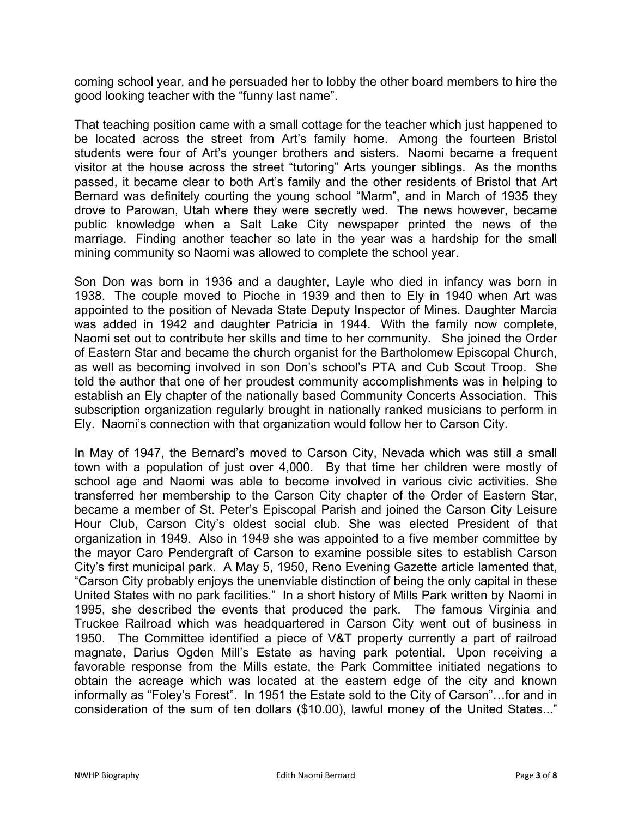coming school year, and he persuaded her to lobby the other board members to hire the good looking teacher with the "funny last name".

That teaching position came with a small cottage for the teacher which just happened to be located across the street from Art's family home. Among the fourteen Bristol students were four of Art's younger brothers and sisters. Naomi became a frequent visitor at the house across the street "tutoring" Arts younger siblings. As the months passed, it became clear to both Art's family and the other residents of Bristol that Art Bernard was definitely courting the young school "Marm", and in March of 1935 they drove to Parowan, Utah where they were secretly wed. The news however, became public knowledge when a Salt Lake City newspaper printed the news of the marriage. Finding another teacher so late in the year was a hardship for the small mining community so Naomi was allowed to complete the school year.

Son Don was born in 1936 and a daughter, Layle who died in infancy was born in 1938. The couple moved to Pioche in 1939 and then to Ely in 1940 when Art was appointed to the position of Nevada State Deputy Inspector of Mines. Daughter Marcia was added in 1942 and daughter Patricia in 1944. With the family now complete, Naomi set out to contribute her skills and time to her community. She joined the Order of Eastern Star and became the church organist for the Bartholomew Episcopal Church, as well as becoming involved in son Don's school's PTA and Cub Scout Troop. She told the author that one of her proudest community accomplishments was in helping to establish an Ely chapter of the nationally based Community Concerts Association. This subscription organization regularly brought in nationally ranked musicians to perform in Ely. Naomi's connection with that organization would follow her to Carson City.

In May of 1947, the Bernard's moved to Carson City, Nevada which was still a small town with a population of just over 4,000. By that time her children were mostly of school age and Naomi was able to become involved in various civic activities. She transferred her membership to the Carson City chapter of the Order of Eastern Star, became a member of St. Peter's Episcopal Parish and joined the Carson City Leisure Hour Club, Carson City's oldest social club. She was elected President of that organization in 1949. Also in 1949 she was appointed to a five member committee by the mayor Caro Pendergraft of Carson to examine possible sites to establish Carson City's first municipal park. A May 5, 1950, Reno Evening Gazette article lamented that, "Carson City probably enjoys the unenviable distinction of being the only capital in these United States with no park facilities." In a short history of Mills Park written by Naomi in 1995, she described the events that produced the park. The famous Virginia and Truckee Railroad which was headquartered in Carson City went out of business in 1950. The Committee identified a piece of V&T property currently a part of railroad magnate, Darius Ogden Mill's Estate as having park potential. Upon receiving a favorable response from the Mills estate, the Park Committee initiated negations to obtain the acreage which was located at the eastern edge of the city and known informally as "Foley's Forest". In 1951 the Estate sold to the City of Carson"…for and in consideration of the sum of ten dollars (\$10.00), lawful money of the United States..."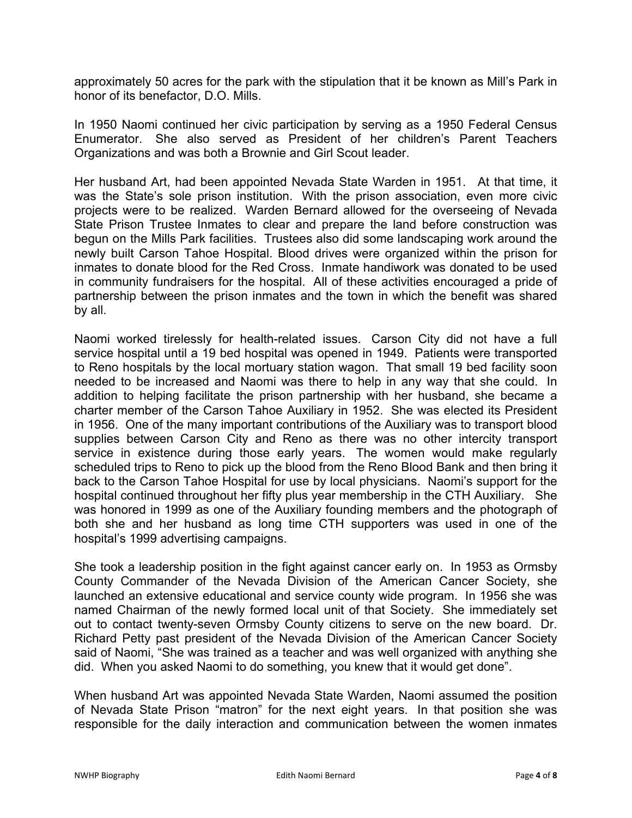approximately 50 acres for the park with the stipulation that it be known as Mill's Park in honor of its benefactor, D.O. Mills.

In 1950 Naomi continued her civic participation by serving as a 1950 Federal Census Enumerator. She also served as President of her children's Parent Teachers Organizations and was both a Brownie and Girl Scout leader.

Her husband Art, had been appointed Nevada State Warden in 1951. At that time, it was the State's sole prison institution. With the prison association, even more civic projects were to be realized. Warden Bernard allowed for the overseeing of Nevada State Prison Trustee Inmates to clear and prepare the land before construction was begun on the Mills Park facilities. Trustees also did some landscaping work around the newly built Carson Tahoe Hospital. Blood drives were organized within the prison for inmates to donate blood for the Red Cross. Inmate handiwork was donated to be used in community fundraisers for the hospital. All of these activities encouraged a pride of partnership between the prison inmates and the town in which the benefit was shared by all.

Naomi worked tirelessly for health-related issues. Carson City did not have a full service hospital until a 19 bed hospital was opened in 1949. Patients were transported to Reno hospitals by the local mortuary station wagon. That small 19 bed facility soon needed to be increased and Naomi was there to help in any way that she could. In addition to helping facilitate the prison partnership with her husband, she became a charter member of the Carson Tahoe Auxiliary in 1952. She was elected its President in 1956. One of the many important contributions of the Auxiliary was to transport blood supplies between Carson City and Reno as there was no other intercity transport service in existence during those early years. The women would make regularly scheduled trips to Reno to pick up the blood from the Reno Blood Bank and then bring it back to the Carson Tahoe Hospital for use by local physicians. Naomi's support for the hospital continued throughout her fifty plus year membership in the CTH Auxiliary. She was honored in 1999 as one of the Auxiliary founding members and the photograph of both she and her husband as long time CTH supporters was used in one of the hospital's 1999 advertising campaigns.

She took a leadership position in the fight against cancer early on. In 1953 as Ormsby County Commander of the Nevada Division of the American Cancer Society, she launched an extensive educational and service county wide program. In 1956 she was named Chairman of the newly formed local unit of that Society. She immediately set out to contact twenty-seven Ormsby County citizens to serve on the new board. Dr. Richard Petty past president of the Nevada Division of the American Cancer Society said of Naomi, "She was trained as a teacher and was well organized with anything she did. When you asked Naomi to do something, you knew that it would get done".

When husband Art was appointed Nevada State Warden, Naomi assumed the position of Nevada State Prison "matron" for the next eight years. In that position she was responsible for the daily interaction and communication between the women inmates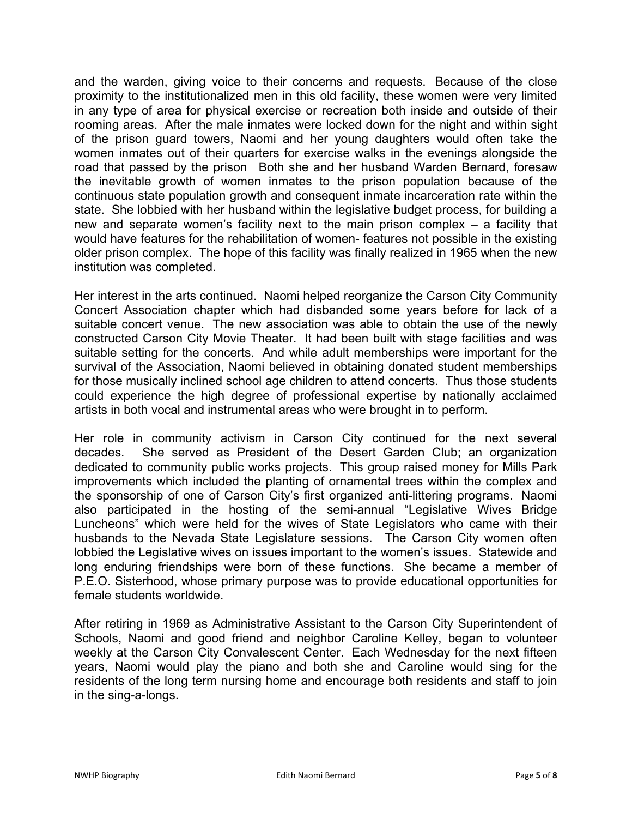and the warden, giving voice to their concerns and requests. Because of the close proximity to the institutionalized men in this old facility, these women were very limited in any type of area for physical exercise or recreation both inside and outside of their rooming areas. After the male inmates were locked down for the night and within sight of the prison guard towers, Naomi and her young daughters would often take the women inmates out of their quarters for exercise walks in the evenings alongside the road that passed by the prison Both she and her husband Warden Bernard, foresaw the inevitable growth of women inmates to the prison population because of the continuous state population growth and consequent inmate incarceration rate within the state. She lobbied with her husband within the legislative budget process, for building a new and separate women's facility next to the main prison complex – a facility that would have features for the rehabilitation of women- features not possible in the existing older prison complex. The hope of this facility was finally realized in 1965 when the new institution was completed.

Her interest in the arts continued. Naomi helped reorganize the Carson City Community Concert Association chapter which had disbanded some years before for lack of a suitable concert venue. The new association was able to obtain the use of the newly constructed Carson City Movie Theater. It had been built with stage facilities and was suitable setting for the concerts. And while adult memberships were important for the survival of the Association, Naomi believed in obtaining donated student memberships for those musically inclined school age children to attend concerts. Thus those students could experience the high degree of professional expertise by nationally acclaimed artists in both vocal and instrumental areas who were brought in to perform.

Her role in community activism in Carson City continued for the next several decades. She served as President of the Desert Garden Club; an organization dedicated to community public works projects. This group raised money for Mills Park improvements which included the planting of ornamental trees within the complex and the sponsorship of one of Carson City's first organized anti-littering programs. Naomi also participated in the hosting of the semi-annual "Legislative Wives Bridge Luncheons" which were held for the wives of State Legislators who came with their husbands to the Nevada State Legislature sessions. The Carson City women often lobbied the Legislative wives on issues important to the women's issues. Statewide and long enduring friendships were born of these functions. She became a member of P.E.O. Sisterhood, whose primary purpose was to provide educational opportunities for female students worldwide.

After retiring in 1969 as Administrative Assistant to the Carson City Superintendent of Schools, Naomi and good friend and neighbor Caroline Kelley, began to volunteer weekly at the Carson City Convalescent Center. Each Wednesday for the next fifteen years, Naomi would play the piano and both she and Caroline would sing for the residents of the long term nursing home and encourage both residents and staff to join in the sing-a-longs.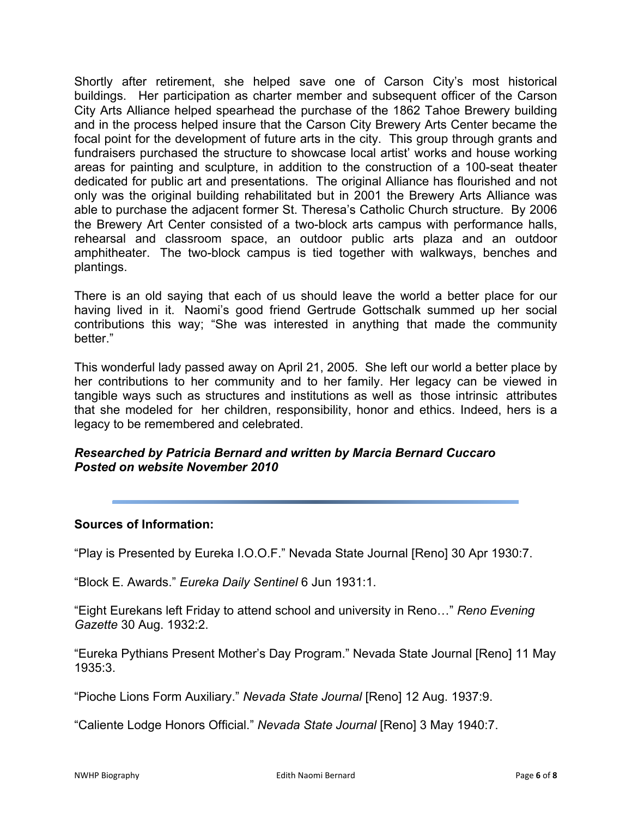Shortly after retirement, she helped save one of Carson City's most historical buildings. Her participation as charter member and subsequent officer of the Carson City Arts Alliance helped spearhead the purchase of the 1862 Tahoe Brewery building and in the process helped insure that the Carson City Brewery Arts Center became the focal point for the development of future arts in the city. This group through grants and fundraisers purchased the structure to showcase local artist' works and house working areas for painting and sculpture, in addition to the construction of a 100-seat theater dedicated for public art and presentations. The original Alliance has flourished and not only was the original building rehabilitated but in 2001 the Brewery Arts Alliance was able to purchase the adjacent former St. Theresa's Catholic Church structure. By 2006 the Brewery Art Center consisted of a two-block arts campus with performance halls, rehearsal and classroom space, an outdoor public arts plaza and an outdoor amphitheater. The two-block campus is tied together with walkways, benches and plantings.

There is an old saying that each of us should leave the world a better place for our having lived in it. Naomi's good friend Gertrude Gottschalk summed up her social contributions this way; "She was interested in anything that made the community better."

This wonderful lady passed away on April 21, 2005. She left our world a better place by her contributions to her community and to her family. Her legacy can be viewed in tangible ways such as structures and institutions as well as those intrinsic attributes that she modeled for her children, responsibility, honor and ethics. Indeed, hers is a legacy to be remembered and celebrated.

## *Researched by Patricia Bernard and written by Marcia Bernard Cuccaro Posted on website November 2010*

### **Sources of Information:**

"Play is Presented by Eureka I.O.O.F." Nevada State Journal [Reno] 30 Apr 1930:7.

"Block E. Awards." *Eureka Daily Sentinel* 6 Jun 1931:1.

"Eight Eurekans left Friday to attend school and university in Reno…" *Reno Evening Gazette* 30 Aug. 1932:2.

"Eureka Pythians Present Mother's Day Program." Nevada State Journal [Reno] 11 May 1935:3.

"Pioche Lions Form Auxiliary." *Nevada State Journal* [Reno] 12 Aug. 1937:9.

"Caliente Lodge Honors Official." *Nevada State Journal* [Reno] 3 May 1940:7.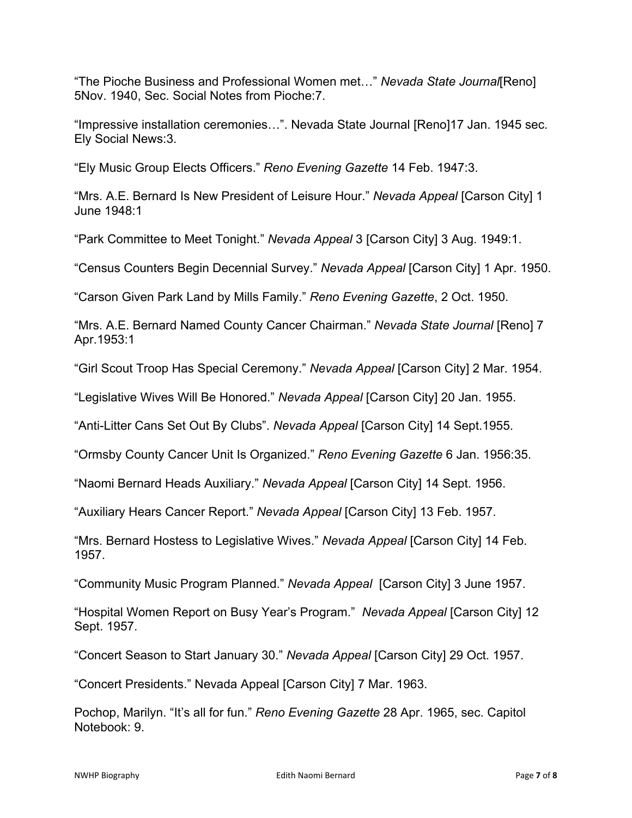"The Pioche Business and Professional Women met…" *Nevada State Journal*[Reno] 5Nov. 1940, Sec. Social Notes from Pioche:7.

"Impressive installation ceremonies…". Nevada State Journal [Reno]17 Jan. 1945 sec. Ely Social [News:3.](news:3)

"Ely Music Group Elects Officers." *Reno Evening Gazette* 14 Feb. 1947:3.

"Mrs. A.E. Bernard Is New President of Leisure Hour." *Nevada Appeal* [Carson City] 1 June 1948:1

"Park Committee to Meet Tonight." *Nevada Appeal* 3 [Carson City] 3 Aug. 1949:1.

"Census Counters Begin Decennial Survey." *Nevada Appeal* [Carson City] 1 Apr. 1950.

"Carson Given Park Land by Mills Family." *Reno Evening Gazette*, 2 Oct. 1950.

"Mrs. A.E. Bernard Named County Cancer Chairman." *Nevada State Journal* [Reno] 7 Apr.1953:1

"Girl Scout Troop Has Special Ceremony." *Nevada Appeal* [Carson City] 2 Mar. 1954.

"Legislative Wives Will Be Honored." *Nevada Appeal* [Carson City] 20 Jan. 1955.

"Anti-Litter Cans Set Out By Clubs". *Nevada Appeal* [Carson City] 14 Sept.1955.

"Ormsby County Cancer Unit Is Organized." *Reno Evening Gazette* 6 Jan. 1956:35.

"Naomi Bernard Heads Auxiliary." *Nevada Appeal* [Carson City] 14 Sept. 1956.

"Auxiliary Hears Cancer Report." *Nevada Appeal* [Carson City] 13 Feb. 1957.

"Mrs. Bernard Hostess to Legislative Wives." *Nevada Appeal* [Carson City] 14 Feb. 1957.

"Community Music Program Planned." *Nevada Appeal* [Carson City] 3 June 1957.

"Hospital Women Report on Busy Year's Program." *Nevada Appeal* [Carson City] 12 Sept. 1957.

"Concert Season to Start January 30." *Nevada Appeal* [Carson City] 29 Oct. 1957.

"Concert Presidents." Nevada Appeal [Carson City] 7 Mar. 1963.

Pochop, Marilyn. "It's all for fun." *Reno Evening Gazette* 28 Apr. 1965, sec. Capitol Notebook: 9.